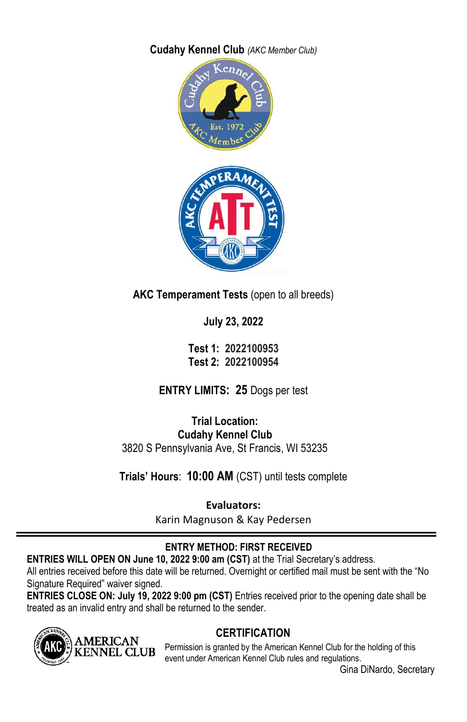**Cudahy Kennel Club** *(AKC Member Club)*



**AKC Temperament Tests** (open to all breeds)

**July 23, 2022**

**Test 1: 2022100953 Test 2: 2022100954**

**ENTRY LIMITS: 25** Dogs per test

**Trial Location: Cudahy Kennel Club** 3820 S Pennsylvania Ave, St Francis, WI 53235

**Trials' Hours**: **10:00 AM** (CST) until tests complete

**Evaluators:** 

Karin Magnuson & Kay Pedersen

## **ENTRY METHOD: FIRST RECEIVED**

**ENTRIES WILL OPEN ON June 10, 2022 9:00 am (CST)** at the Trial Secretary's address.

All entries received before this date will be returned. Overnight or certified mail must be sent with the "No Signature Required" waiver signed.

**ENTRIES CLOSE ON: July 19, 2022 9:00 pm (CST)** Entries received prior to the opening date shall be treated as an invalid entry and shall be returned to the sender.



## **CERTIFICATION**

Permission is granted by the American Kennel Club for the holding of this event under American Kennel Club rules and regulations.

Gina DiNardo, Secretary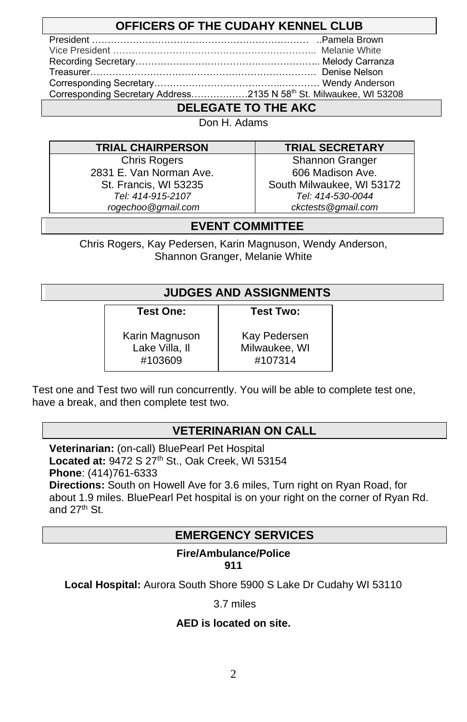## **OFFICERS OF THE CUDAHY KENNEL CLUB**

| Corresponding Secretary Address2135 N 58th St. Milwaukee, WI 53208 |  |
|--------------------------------------------------------------------|--|

## **DELEGATE TO THE AKC**

Don H. Adams

### **TRIAL CHAIRPERSON TRIAL SECRETARY**

Chris Rogers 2831 E. Van Norman Ave. St. Francis, WI 53235 *Tel: 414-915-2107 rogechoo@gmail.com*

Shannon Granger 606 Madison Ave. South Milwaukee, WI 53172 *Tel: 414-530-0044 ckctests@gmail.com*

## **EVENT COMMITTEE**

Chris Rogers, Kay Pedersen, Karin Magnuson, Wendy Anderson, Shannon Granger, Melanie White

## **JUDGES AND ASSIGNMENTS**

**Test One:**

**Test Two:**

Karin Magnuson Lake Villa, Il #103609

Kay Pedersen Milwaukee, WI #107314

Test one and Test two will run concurrently. You will be able to complete test one, have a break, and then complete test two.

## **VETERINARIAN ON CALL**

**Veterinarian:** (on-call) BluePearl Pet Hospital **Located at:** 9472 S 27th St., Oak Creek, WI 53154 **Phone**: (414)761-6333

**Directions:** South on Howell Ave for 3.6 miles, Turn right on Ryan Road, for about 1.9 miles. BluePearl Pet hospital is on your right on the corner of Ryan Rd. and  $27<sup>th</sup>$  St.

### **EMERGENCY SERVICES**

#### **Fire/Ambulance/Police 911**

**Local Hospital:** Aurora South Shore 5900 S Lake Dr Cudahy WI 53110

3.7 miles

### **AED is located on site.**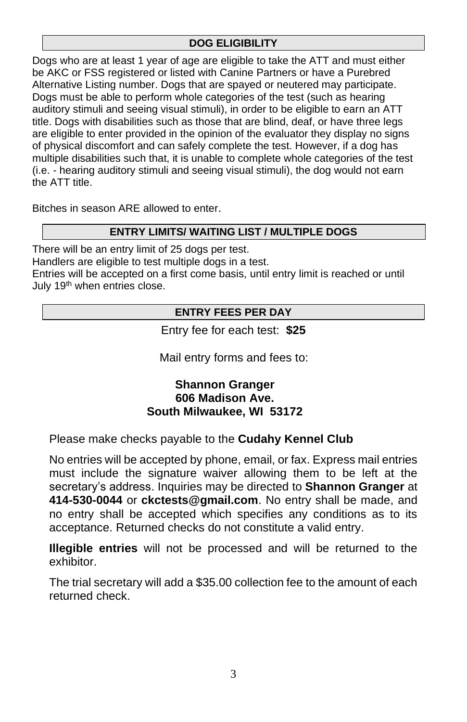### **DOG ELIGIBILITY**

Dogs who are at least 1 year of age are eligible to take the ATT and must either be AKC or FSS registered or listed with Canine Partners or have a Purebred Alternative Listing number. Dogs that are spayed or neutered may participate. Dogs must be able to perform whole categories of the test (such as hearing auditory stimuli and seeing visual stimuli), in order to be eligible to earn an ATT title. Dogs with disabilities such as those that are blind, deaf, or have three legs are eligible to enter provided in the opinion of the evaluator they display no signs of physical discomfort and can safely complete the test. However, if a dog has multiple disabilities such that, it is unable to complete whole categories of the test (i.e. - hearing auditory stimuli and seeing visual stimuli), the dog would not earn the ATT title.

Bitches in season ARE allowed to enter.

### **ENTRY LIMITS/ WAITING LIST / MULTIPLE DOGS**

There will be an entry limit of 25 dogs per test.

Handlers are eligible to test multiple dogs in a test.

Entries will be accepted on a first come basis, until entry limit is reached or until July 19<sup>th</sup> when entries close.

### **ENTRY FEES PER DAY**

Entry fee for each test: **\$25**

Mail entry forms and fees to:

### **Shannon Granger 606 Madison Ave. South Milwaukee, WI 53172**

Please make checks payable to the **Cudahy Kennel Club**

No entries will be accepted by phone, email, or fax. Express mail entries must include the signature waiver allowing them to be left at the secretary's address. Inquiries may be directed to **Shannon Granger** at **414-530-0044** or **ckctests@gmail.com**. No entry shall be made, and no entry shall be accepted which specifies any conditions as to its acceptance. Returned checks do not constitute a valid entry.

**Illegible entries** will not be processed and will be returned to the exhibitor.

The trial secretary will add a \$35.00 collection fee to the amount of each returned check.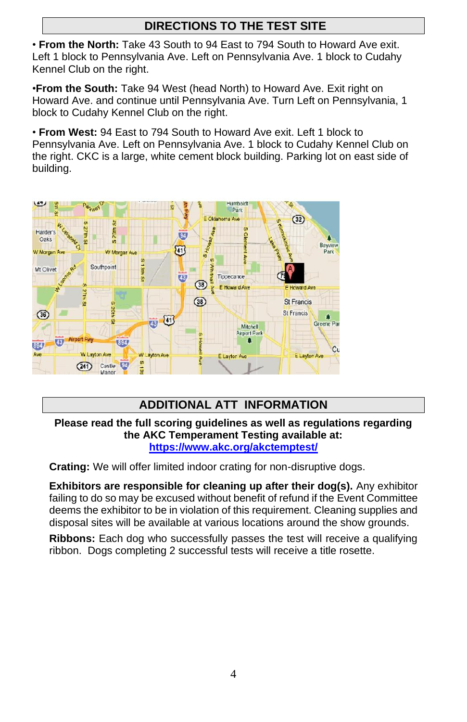## **DIRECTIONS TO THE TEST SITE**

• **From the North:** Take 43 South to 94 East to 794 South to Howard Ave exit. Left 1 block to Pennsylvania Ave. Left on Pennsylvania Ave. 1 block to Cudahy Kennel Club on the right.

•**From the South:** Take 94 West (head North) to Howard Ave. Exit right on Howard Ave. and continue until Pennsylvania Ave. Turn Left on Pennsylvania, 1 block to Cudahy Kennel Club on the right.

• **From West:** 94 East to 794 South to Howard Ave exit. Left 1 block to Pennsylvania Ave. Left on Pennsylvania Ave. 1 block to Cudahy Kennel Club on the right. CKC is a large, white cement block building. Parking lot on east side of building.



## **ADDITIONAL ATT INFORMATION**

**Please read the full scoring guidelines as well as regulations regarding the AKC Temperament Testing available at: <https://www.akc.org/akctemptest/>**

**Crating:** We will offer limited indoor crating for non-disruptive dogs.

**Exhibitors are responsible for cleaning up after their dog(s).** Any exhibitor failing to do so may be excused without benefit of refund if the Event Committee deems the exhibitor to be in violation of this requirement. Cleaning supplies and disposal sites will be available at various locations around the show grounds.

**Ribbons:** Each dog who successfully passes the test will receive a qualifying ribbon. Dogs completing 2 successful tests will receive a title rosette.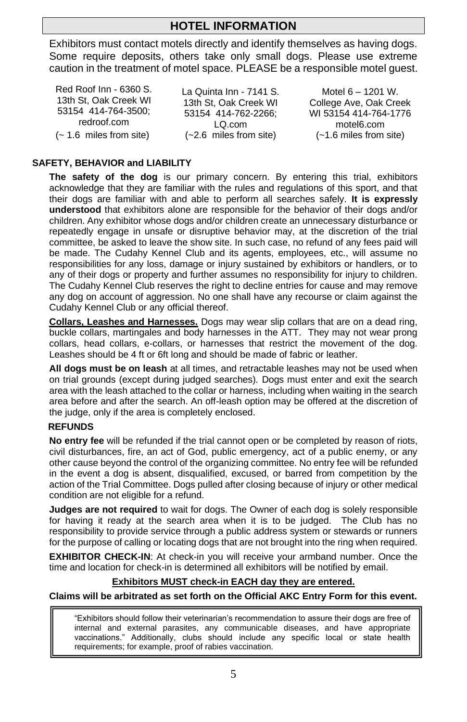## **HOTEL INFORMATION**

Exhibitors must contact motels directly and identify themselves as having dogs. Some require deposits, others take only small dogs. Please use extreme caution in the treatment of motel space. PLEASE be a responsible motel guest.

Red Roof Inn - 6360 S. 13th St, Oak Creek WI 53154 414-764-3500; redroof.com (~ 1.6 miles from site) La Quinta Inn - 7141 S. 13th St, Oak Creek WI 53154 414-762-2266; LQ.com (~2.6 miles from site)

Motel 6 – 1201 W. College Ave, Oak Creek WI 53154 414-764-1776 motel6.com (~1.6 miles from site)

### **SAFETY, BEHAVIOR and LIABILITY**

**The safety of the dog** is our primary concern. By entering this trial, exhibitors acknowledge that they are familiar with the rules and regulations of this sport, and that their dogs are familiar with and able to perform all searches safely. **It is expressly understood** that exhibitors alone are responsible for the behavior of their dogs and/or children. Any exhibitor whose dogs and/or children create an unnecessary disturbance or repeatedly engage in unsafe or disruptive behavior may, at the discretion of the trial committee, be asked to leave the show site. In such case, no refund of any fees paid will be made. The Cudahy Kennel Club and its agents, employees, etc., will assume no responsibilities for any loss, damage or injury sustained by exhibitors or handlers, or to any of their dogs or property and further assumes no responsibility for injury to children. The Cudahy Kennel Club reserves the right to decline entries for cause and may remove any dog on account of aggression. No one shall have any recourse or claim against the Cudahy Kennel Club or any official thereof.

**Collars, Leashes and Harnesses.** Dogs may wear slip collars that are on a dead ring, buckle collars, martingales and body harnesses in the ATT. They may not wear prong collars, head collars, e-collars, or harnesses that restrict the movement of the dog. Leashes should be 4 ft or 6ft long and should be made of fabric or leather.

**All dogs must be on leash** at all times, and retractable leashes may not be used when on trial grounds (except during judged searches). Dogs must enter and exit the search area with the leash attached to the collar or harness, including when waiting in the search area before and after the search. An off-leash option may be offered at the discretion of the judge, only if the area is completely enclosed.

#### **REFUNDS**

**No entry fee** will be refunded if the trial cannot open or be completed by reason of riots, civil disturbances, fire, an act of God, public emergency, act of a public enemy, or any other cause beyond the control of the organizing committee. No entry fee will be refunded in the event a dog is absent, disqualified, excused, or barred from competition by the action of the Trial Committee. Dogs pulled after closing because of injury or other medical condition are not eligible for a refund.

**Judges are not required** to wait for dogs. The Owner of each dog is solely responsible for having it ready at the search area when it is to be judged. The Club has no responsibility to provide service through a public address system or stewards or runners for the purpose of calling or locating dogs that are not brought into the ring when required.

**EXHIBITOR CHECK-IN**: At check-in you will receive your armband number. Once the time and location for check-in is determined all exhibitors will be notified by email.

### **Exhibitors MUST check-in EACH day they are entered.**

#### **Claims will be arbitrated as set forth on the Official AKC Entry Form for this event.**

"Exhibitors should follow their veterinarian's recommendation to assure their dogs are free of internal and external parasites, any communicable diseases, and have appropriate vaccinations." Additionally, clubs should include any specific local or state health requirements; for example, proof of rabies vaccination.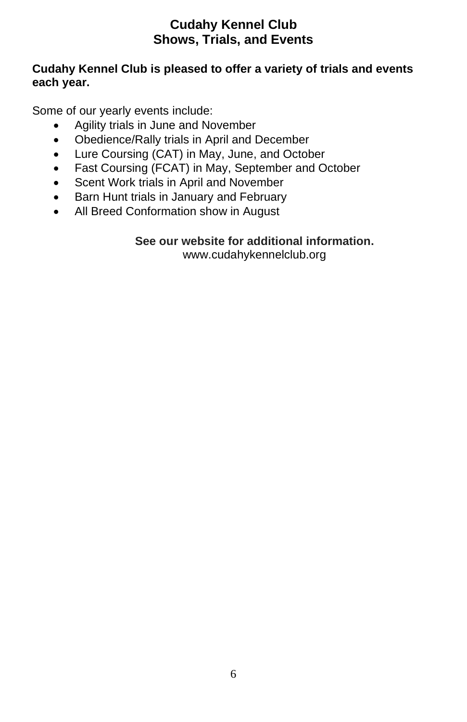## **Cudahy Kennel Club Shows, Trials, and Events**

## **Cudahy Kennel Club is pleased to offer a variety of trials and events each year.**

Some of our yearly events include:

- Agility trials in June and November
- Obedience/Rally trials in April and December
- Lure Coursing (CAT) in May, June, and October
- Fast Coursing (FCAT) in May, September and October
- Scent Work trials in April and November
- Barn Hunt trials in January and February
- All Breed Conformation show in August

# **See our website for additional information.**

www.cudahykennelclub.org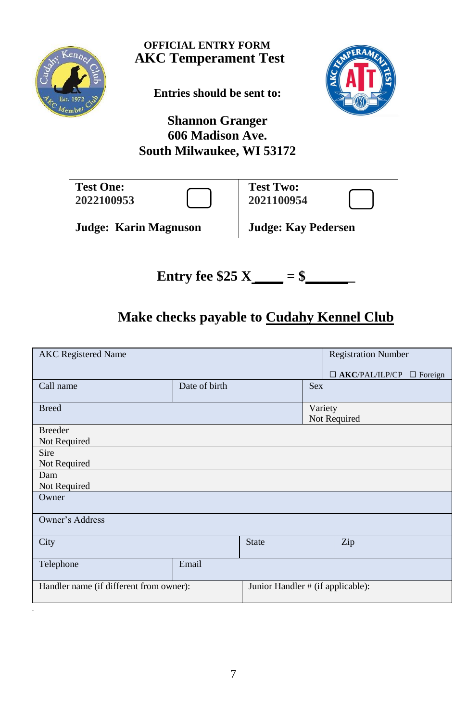

**OFFICIAL ENTRY FORM AKC Temperament Test**

**Entries should be sent to:**



## **Shannon Granger 606 Madison Ave. South Milwaukee, WI 53172**

| <b>Test One:</b>             | <b>Test Two:</b>           |
|------------------------------|----------------------------|
| 2022100953                   | 2021100954                 |
| <b>Judge: Karin Magnuson</b> | <b>Judge: Kay Pedersen</b> |

**Entry fee**  $$25 X$  $= $$ 

# **Make checks payable to Cudahy Kennel Club**

| <b>AKC</b> Registered Name              |               |              | <b>Registration Number</b>        |                                      |  |
|-----------------------------------------|---------------|--------------|-----------------------------------|--------------------------------------|--|
|                                         |               |              |                                   | $\Box$ AKC/PAL/ILP/CP $\Box$ Foreign |  |
| Call name                               | Date of birth |              | <b>Sex</b>                        |                                      |  |
| <b>Breed</b>                            |               |              | Variety                           |                                      |  |
|                                         |               |              |                                   | Not Required                         |  |
| <b>Breeder</b>                          |               |              |                                   |                                      |  |
| Not Required                            |               |              |                                   |                                      |  |
| Sire                                    |               |              |                                   |                                      |  |
| Not Required                            |               |              |                                   |                                      |  |
| Dam                                     |               |              |                                   |                                      |  |
| Not Required                            |               |              |                                   |                                      |  |
| Owner                                   |               |              |                                   |                                      |  |
| Owner's Address                         |               |              |                                   |                                      |  |
| City                                    |               | <b>State</b> |                                   | Zip                                  |  |
| Telephone                               | Email         |              |                                   |                                      |  |
| Handler name (if different from owner): |               |              | Junior Handler # (if applicable): |                                      |  |